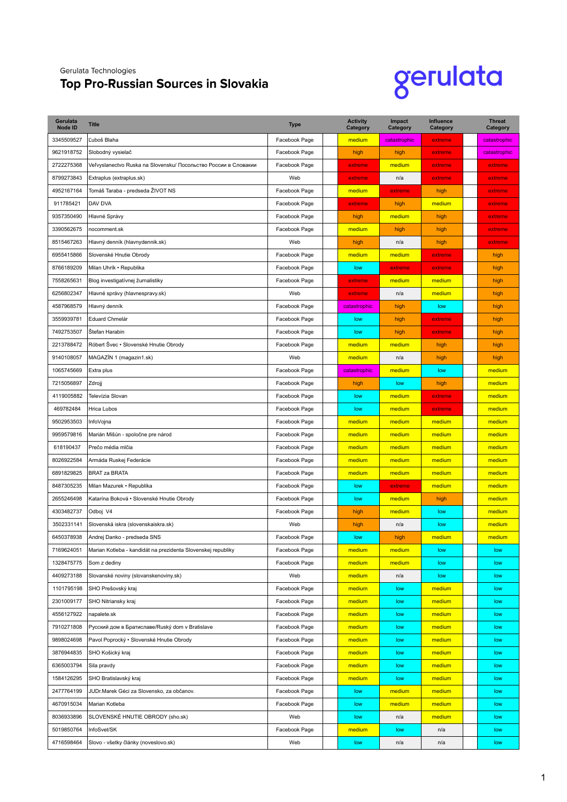## Gerulata Technologies

## **Top Pro-Russian Sources in Slovakia**

## gerulata

| Gerulata<br><b>Node ID</b> | <b>Title</b>                                                    | <b>Type</b>   | <b>Activity</b><br>Category | Impact<br><b>Category</b> | Influence<br>Category | <b>Threat</b><br>Category |
|----------------------------|-----------------------------------------------------------------|---------------|-----------------------------|---------------------------|-----------------------|---------------------------|
| 3345509527                 | Ľuboš Blaha                                                     | Facebook Page | medium                      | catastrophic              | extreme               | catastrophic              |
| 9621918752                 | Slobodný vysielač                                               | Facebook Page | high                        | high                      | extreme               | catastrophic              |
| 2722275368                 | Veľvyslanectvo Ruska na Slovensku/ Посольство России в Словакии | Facebook Page | extreme                     | medium                    | extreme               | extreme                   |
| 8799273843                 | Extraplus (extraplus.sk)                                        | Web           | extreme                     | n/a                       | extreme               | extreme                   |
| 4952167164                 | Tomáš Taraba - predseda ŽIVOT NS                                | Facebook Page | medium                      | extreme                   | high                  | extreme                   |
| 911785421                  | DAV DVA                                                         | Facebook Page | extreme                     | high                      | medium                | extreme                   |
| 9357350490                 | Hlavné Správy                                                   | Facebook Page | high                        | medium                    | high                  | extreme                   |
| 3390562675                 | nocomment.sk                                                    | Facebook Page | medium                      | high                      | high                  | extreme                   |
| 8515467263                 | Hlavný denník (hlavnydennik.sk)                                 | Web           | high                        | n/a                       | high                  | extreme                   |
| 6955415866                 | Slovenské Hnutie Obrody                                         | Facebook Page | medium                      | medium                    | extreme               | high                      |
| 8766189209                 | Milan Uhrík • Republika                                         | Facebook Page | low                         | extreme                   | extreme               | high                      |
| 7558265631                 | Blog investigatívnej žurnalistiky                               | Facebook Page | extreme                     | medium                    | medium                | high                      |
| 6256802347                 | Hlavné správy (hlavnespravy.sk)                                 | Web           | extreme                     | n/a                       | medium                | high                      |
| 4587968579                 | Hlavný denník                                                   | Facebook Page | catastrophic                | high                      | low                   | high                      |
| 3559939781                 | Eduard Chmelár                                                  | Facebook Page | low                         | high                      | extreme               | high                      |
| 7492753507                 | Štefan Harabin                                                  | Facebook Page | low                         | high                      | extreme               | high                      |
| 2213788472                 | Róbert Švec • Slovenské Hnutie Obrody                           | Facebook Page | medium                      | medium                    | high                  | high                      |
| 9140108057                 | MAGAZIN 1 (magazin1.sk)                                         | Web           | medium                      | n/a                       | high                  | high                      |
| 1065745669                 | Extra plus                                                      | Facebook Page | catastrophic                | medium                    | low                   | medium                    |
| 7215056897                 | Zdrojj                                                          | Facebook Page | high                        | low                       | high                  | medium                    |
| 4119005882                 | Televízia Slovan                                                | Facebook Page | low                         | medium                    | extreme               | medium                    |
| 469782484                  | Hrica Lubos                                                     | Facebook Page | low                         | medium                    | extreme               | medium                    |
| 9502953503                 | InfoVojna                                                       | Facebook Page | medium                      | medium                    | medium                | medium                    |
| 9959579816                 | Marián Mišún - spoločne pre národ                               | Facebook Page | medium                      | medium                    | medium                | medium                    |
| 618190437                  | Prečo média mlčia                                               | Facebook Page | medium                      | medium                    | medium                | medium                    |
| 8026922584                 | Armáda Ruskej Federácie                                         | Facebook Page | medium                      | medium                    | medium                | medium                    |
| 6891829825                 | <b>BRAT za BRATA</b>                                            | Facebook Page | medium                      | medium                    | medium                | medium                    |
| 8487305235                 | Milan Mazurek • Republika                                       | Facebook Page | low                         | extreme                   | medium                | medium                    |
| 2655246498                 | Katarína Boková • Slovenské Hnutie Obrody                       | Facebook Page | low                         | medium                    | high                  | medium                    |
| 4303482737                 | Odboj V4                                                        | Facebook Page | high                        | medium                    | low                   | medium                    |
| 3502331141                 | Slovenská iskra (slovenskaiskra.sk)                             | Web           | high                        | n/a                       | low                   | medium                    |
| 6450378938                 | Andrej Danko - predseda SNS                                     | Facebook Page | low                         | high                      | medium                | medium                    |
| 7169624051                 | Marian Kotleba - kandidát na prezidenta Slovenskej republiky    | Facebook Page | medium                      | medium                    | low                   | low                       |
| 1328475775                 | Som z dediny                                                    | Facebook Page | medium                      | medium                    | low                   | low                       |
| 4409273188                 | Slovanské noviny (slovanskenoviny.sk)                           | Web           | medium                      | n/a                       | low                   | low                       |
| 1101795198                 | SHO Prešovský kraj                                              | Facebook Page | medium                      | low                       | medium                | low                       |
| 2301009177                 | SHO Nitriansky kraj                                             | Facebook Page | medium                      | low                       | medium                | low                       |
| 4556127922                 | napalete.sk                                                     | Facebook Page | medium                      | low                       | medium                | low                       |
| 7910271808                 | Русский дом в Братиславе/Ruský dom v Bratislave                 | Facebook Page | medium                      | low                       | medium                | low                       |
| 9898024698                 | Pavol Poprocký · Slovenské Hnutie Obrody                        | Facebook Page | medium                      | low                       | medium                | low                       |
| 3876944835                 | SHO Košický kraj                                                | Facebook Page | medium                      | low                       | medium                | low                       |
| 6365003794                 | Sila pravdy                                                     | Facebook Page | medium                      | low                       | medium                | low                       |
| 1584126295                 | SHO Bratislavský kraj                                           | Facebook Page | medium                      | low                       | medium                | low                       |
| 2477764199                 | JUDr.Marek Géci za Slovensko, za občanov.                       | Facebook Page | low                         | medium                    | medium                | low                       |
| 4670915034                 | Marian Kotleba                                                  | Facebook Page | low                         | medium                    | medium                | low                       |
| 8036933896                 | SLOVENSKÉ HNUTIE OBRODY (sho.sk)                                | Web           | low                         | n/a                       | medium                | low                       |
| 5019850764                 | InfoSvet/SK                                                     | Facebook Page | medium                      | low                       | n/a                   | low                       |
| 4716598464                 | Slovo - všetky články (noveslovo.sk)                            | Web           | low                         | n/a                       | n/a                   | low                       |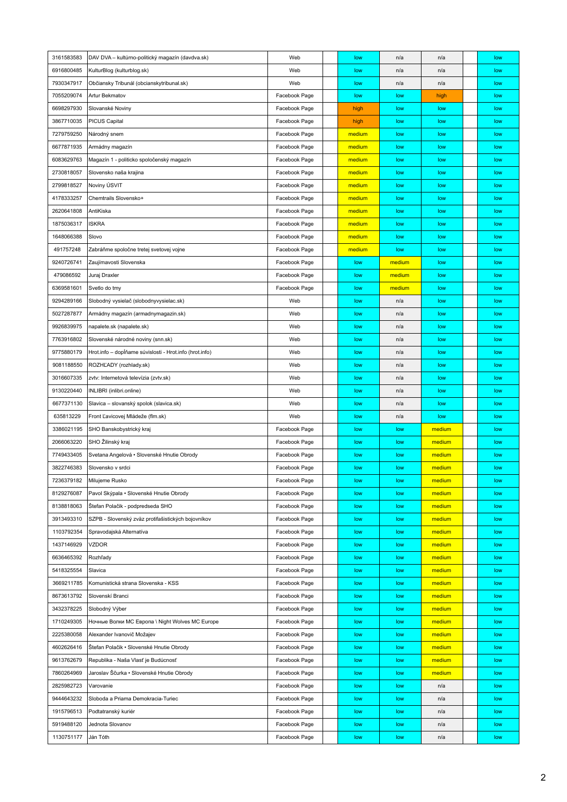| 3161583583 | DAV DVA - kultúrno-politický magazín (davdva.sk)        | Web           | low    | n/a    | n/a    | low |
|------------|---------------------------------------------------------|---------------|--------|--------|--------|-----|
| 6916800485 | KulturBlog (kulturblog.sk)                              | Web           | low    | n/a    | n/a    | low |
| 7930347917 | Občiansky Tribunál (obcianskytribunal.sk)               | Web           | low    | n/a    | n/a    | low |
| 7055209074 | Artur Bekmatov                                          | Facebook Page | low    | low    | high   | low |
| 6698297930 | Slovanské Noviny                                        | Facebook Page | high   | low    | low    | low |
| 3867710035 | <b>PICUS Capital</b>                                    | Facebook Page | high   | low    | low    | low |
| 7279759250 | Národný snem                                            | Facebook Page | medium | low    | low    | low |
| 6677871935 | Armádny magazín                                         | Facebook Page | medium | low    | low    | low |
| 6083629763 | Magazín 1 - politicko spoločenský magazín               | Facebook Page | medium | low    | low    | low |
| 2730818057 | Slovensko naša krajina                                  | Facebook Page | medium | low    | low    | low |
| 2799818527 | Noviny ÚSVIT                                            | Facebook Page | medium | low    | low    | low |
| 4178333257 | Chemtrails Slovensko+                                   | Facebook Page | medium | low    | low    | low |
| 2620641808 | AntiKiska                                               | Facebook Page | medium | low    | low    | low |
| 1875036317 | <b>ISKRA</b>                                            | Facebook Page | medium | low    | low    | low |
| 1648066388 | Slovo                                                   | Facebook Page | medium | low    | low    | low |
| 491757248  | Zabráňme spoločne tretej svetovej vojne                 | Facebook Page | medium | low    | low    | low |
| 9240726741 | Zaujímavosti Slovenska                                  | Facebook Page | low    | medium | low    | low |
| 479086592  | Juraj Draxler                                           | Facebook Page | low    | medium | low    | low |
| 6369581601 | Svetlo do tmy                                           | Facebook Page | low    | medium | low    | low |
| 9294289166 | Slobodný vysielač (slobodnyvysielac.sk)                 | Web           | low    | n/a    | low    | low |
| 5027287877 | Armádny magazín (armadnymagazin.sk)                     | Web           | low    | n/a    | low    | low |
| 9926839975 | napalete.sk (napalete.sk)                               | Web           | low    | n/a    | low    | low |
| 7763916802 | Slovenské národné noviny (snn.sk)                       | Web           | low    | n/a    | low    | low |
| 9775880179 | Hrot.info - dopĺňame súvislosti - Hrot.info (hrot.info) | Web           | low    | n/a    | low    | low |
| 9081188550 | ROZHĽADY (rozhlady.sk)                                  | Web           | low    | n/a    | low    | low |
| 3016607335 | zvtv: Internetová televízia (zvtv.sk)                   | Web           | low    | n/a    | low    | low |
| 9130220440 | INLIBRI (inlibri.online)                                | Web           | low    | n/a    | low    | low |
| 6677371130 | Slavica – slovanský spolok (slavica.sk)                 | Web           | low    | n/a    | low    | low |
| 635813229  | Front L'avicovej Mládeže (flm.sk)                       | Web           | low    | n/a    | low    | low |
| 3386021195 | SHO Banskobystrický kraj                                | Facebook Page | low    | low    | medium | low |
| 2066063220 | SHO Žilinský kraj                                       | Facebook Page | low    | low    | medium | low |
| 7749433405 | Svetana Angelová · Slovenské Hnutie Obrody              | Facebook Page | low    | low    | medium | low |
| 3822746383 | Slovensko v srdci                                       | Facebook Page | low    | low    | medium | low |
| 7236379182 | Milujeme Rusko                                          | Facebook Page | low    | low    | medium | low |
| 8129276087 | Pavol Skýpala · Slovenské Hnutie Obrody                 | Facebook Page | low    | low    | medium | low |
| 8138818063 | Štefan Polačik - podpredseda SHO                        | Facebook Page | low    | low    | medium | low |
| 3913493310 | SZPB - Slovenský zväz protifašistických bojovníkov      | Facebook Page | low    | low    | medium | low |
| 1103792354 | Spravodajská Alternatíva                                | Facebook Page | low    | low    | medium | low |
| 1437146929 | <b>VZDOR</b>                                            | Facebook Page | low    | low    | medium | low |
| 6636465392 | Rozhľady                                                | Facebook Page | low    | low    | medium | low |
| 5418325554 | Slavica                                                 | Facebook Page | low    | low    | medium | low |
| 3669211785 | Komunistická strana Slovenska - KSS                     | Facebook Page | low    | low    | medium | low |
| 8673613792 | Slovenskí Branci                                        | Facebook Page | low    | low    | medium | low |
| 3432378225 | Slobodný Výber                                          | Facebook Page | low    | low    | medium | low |
| 1710249305 | Ночные Волки MC Европа \ Night Wolves MC Europe         | Facebook Page | low    | low    | medium | low |
| 2225380058 | Alexander Ivanovič Možajev                              | Facebook Page | low    | low    | medium | low |
| 4602626416 | Štefan Polačik • Slovenské Hnutie Obrody                | Facebook Page | low    | low    | medium | low |
| 9613762679 | Republika - Naša Vlasť je Budúcnosť                     | Facebook Page | low    | low    | medium | low |
| 7860264969 | Jaroslav Ščurka • Slovenské Hnutie Obrody               | Facebook Page | low    | low    | medium | low |
| 2825982723 | Varovanie                                               | Facebook Page | low    | low    | n/a    | low |
| 9444643232 | Sloboda a Priama Demokracia-Turiec                      | Facebook Page | low    | low    | n/a    | low |
| 1915796513 | Podtatranský kuriér                                     | Facebook Page | low    | low    | n/a    | low |
| 5919488120 | Jednota Slovanov                                        | Facebook Page | low    | low    | n/a    | low |
| 1130751177 | Ján Tóth                                                | Facebook Page | low    | low    | n/a    | low |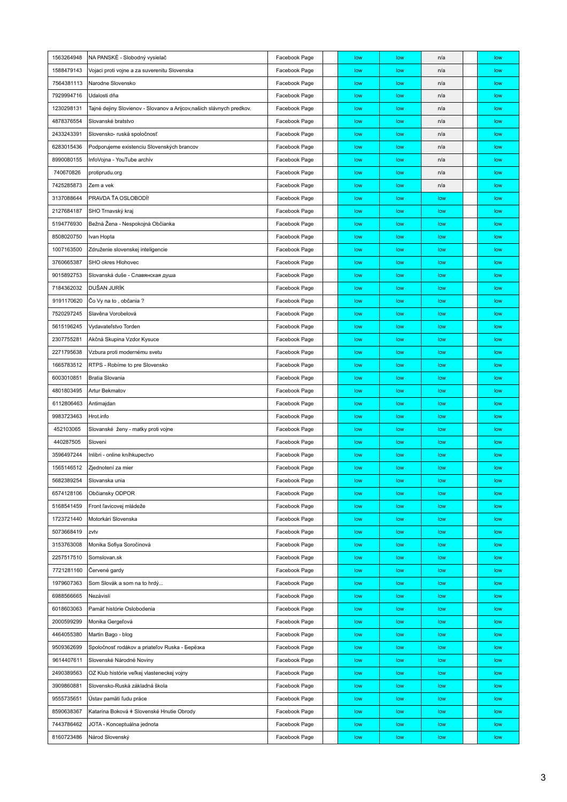| 1563264948 | NA PANSKÉ - Slobodný vysielač                                        | Facebook Page | low | low | n/a | low |
|------------|----------------------------------------------------------------------|---------------|-----|-----|-----|-----|
| 1588479143 | Vojaci proti vojne a za suverenitu Slovenska                         | Facebook Page | low | low | n/a | low |
| 7564381113 | Narodne Slovensko                                                    | Facebook Page | low | low | n/a | low |
| 7929994716 | Udalosti dňa                                                         | Facebook Page | low | low | n/a | low |
| 1230298131 | Tajné dejiny Slovienov - Slovanov a Arijcov,našich slávnych predkov. | Facebook Page | low | low | n/a | low |
| 4878376554 | Slovanské bratstvo                                                   | Facebook Page | low | low | n/a | low |
| 2433243391 | Slovensko- ruská spoločnosť                                          | Facebook Page | low | low | n/a | low |
| 6283015436 | Podporujeme existenciu Slovenských brancov                           | Facebook Page | low | low | n/a | low |
| 8990080155 | InfoVojna - YouTube archív                                           | Facebook Page | low | low | n/a | low |
| 740670826  | protiprudu.org                                                       | Facebook Page | low | low | n/a | low |
| 7425285873 | Zem a vek                                                            | Facebook Page | low | low | n/a | low |
| 3137088644 | PRAVDA TA OSLOBODI!                                                  | Facebook Page | low | low | low | low |
| 2127684187 | SHO Trnavský kraj                                                    | Facebook Page | low | low | low | low |
| 5194776930 | Bežná Žena - Nespokojná Občianka                                     | Facebook Page | low | low | low | low |
| 8508020750 | Ivan Hopta                                                           | Facebook Page | low | low | low | low |
| 1007163500 | Združenie slovenskej inteligencie                                    | Facebook Page | low | low | low | low |
| 3760665387 | SHO okres Hlohovec                                                   | Facebook Page | low | low | low | low |
| 9015892753 | Slovanská duše - Славянская душа                                     | Facebook Page | low | low | low | low |
| 7184362032 | DUŠAN JURÍK                                                          | Facebook Page | low | low | low | low |
| 9191170620 | Co Vy na to, občania?                                                | Facebook Page | low | low | low | low |
| 7520297245 | Slavěna Vorobelová                                                   | Facebook Page | low | low | low | low |
| 5615196245 | Vydavateľstvo Torden                                                 | Facebook Page | low | low | low | low |
| 2307755281 | Akčná Skupina Vzdor Kysuce                                           | Facebook Page | low | low | low | low |
| 2271795638 | Vzbura proti modernému svetu                                         | Facebook Page | low | low | low | low |
| 1665783512 | RTPS - Robíme to pre Slovensko                                       | Facebook Page | low | low | low | low |
| 6003010851 | Bratia Slovania                                                      | Facebook Page | low | low | low | low |
| 4801803495 | <b>Artur Bekmatov</b>                                                | Facebook Page | low | low | low | low |
| 6112806463 | Antimajdan                                                           | Facebook Page | low | low | low | low |
| 9983723463 | Hrot.info                                                            | Facebook Page | low | low | low | low |
| 452103065  | Slovanské ženy - matky proti vojne                                   | Facebook Page | low | low | low | low |
| 440287505  | Sloveni                                                              | Facebook Page | low | low | low | low |
| 3596497244 | Inlibri - online kníhkupectvo                                        | Facebook Page | low | low | low | low |
| 1565146512 | Zjednotení za mier                                                   | Facebook Page | low | low | low | low |
| 5682389254 | Slovanska unia                                                       | Facebook Page | low | low | low | low |
| 6574128106 | Občiansky ODPOR                                                      | Facebook Page | low | low | low | low |
| 5168541459 | Front l'avicovej mládeže                                             | Facebook Page | low | low | low | low |
| 1723721440 | Motorkári Slovenska                                                  | Facebook Page | low | low | low | low |
| 5073668419 | zvtv                                                                 | Facebook Page | low | low | low | low |
| 3153763008 | Monika Sofiya Soročinová                                             | Facebook Page | low | low | low | low |
| 2257517510 | Somslovan.sk                                                         | Facebook Page | low | low | low | low |
| 7721281160 | Červené gardy                                                        | Facebook Page | low | low | low | low |
| 1979607363 | Som Slovák a som na to hrdý                                          | Facebook Page | low | low | low | low |
| 6988566665 | Nezávislí                                                            | Facebook Page | low | low | low | low |
| 6018603063 | Pamäť histórie Oslobodenia                                           | Facebook Page | low | low | low | low |
| 2000599299 | Monika Gergeľová                                                     | Facebook Page | low | low | low | low |
| 4464055380 | Martin Bago - blog                                                   | Facebook Page | low | low | low | low |
| 9509362699 | Spoločnosť rodákov a priateľov Ruska - Берёзка                       | Facebook Page | low | low | low | low |
| 9614407611 | Slovenské Národné Noviny                                             | Facebook Page | low | low | low | low |
| 2490389563 | OZ Klub histórie veľkej vlasteneckej vojny                           | Facebook Page | low | low | low | low |
| 3909860881 | Slovensko-Ruská základná škola                                       | Facebook Page | low | low | low | low |
| 9555735651 | Ústav pamäti ľudu práce                                              | Facebook Page | low | low | low | low |
| 8590638367 | Katarína Boková ‡ Slovenské Hnutie Obrody                            | Facebook Page | low | low | low | low |
| 7443786462 | JOTA - Konceptuálna jednota                                          | Facebook Page | low | low | low | low |
| 8160723486 | Národ Slovenský                                                      | Facebook Page | low | low | low | low |
|            |                                                                      |               |     |     |     |     |